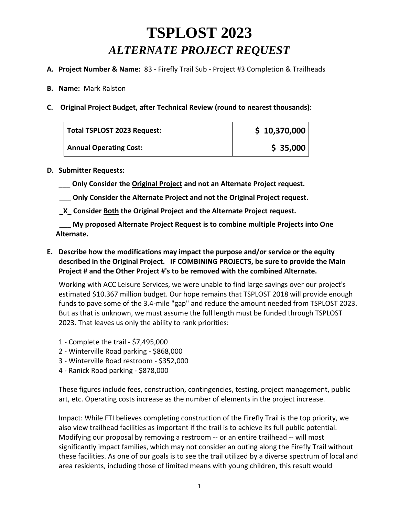# **TSPLOST 2023**  *ALTERNATE PROJECT REQUEST*

- **A. Project Number & Name:** 83 Firefly Trail Sub Project #3 Completion & Trailheads
- **B. Name:** Mark Ralston
- **C. Original Project Budget, after Technical Review (round to nearest thousands):**

| Total TSPLOST 2023 Request:   | \$10,370,000 |
|-------------------------------|--------------|
| <b>Annual Operating Cost:</b> | \$35,000     |

#### **D. Submitter Requests:**

- **\_\_\_ Only Consider the Original Project and not an Alternate Project request.**
- **\_\_\_ Only Consider the Alternate Project and not the Original Project request.**
- **\_X\_ Consider Both the Original Project and the Alternate Project request.**

 **\_\_\_ My proposed Alternate Project Request is to combine multiple Projects into One Alternate.**

**E. Describe how the modifications may impact the purpose and/or service or the equity described in the Original Project. IF COMBINING PROJECTS, be sure to provide the Main Project # and the Other Project #'s to be removed with the combined Alternate.**

Working with ACC Leisure Services, we were unable to find large savings over our project's estimated \$10.367 million budget. Our hope remains that TSPLOST 2018 will provide enough funds to pave some of the 3.4-mile "gap" and reduce the amount needed from TSPLOST 2023. But as that is unknown, we must assume the full length must be funded through TSPLOST 2023. That leaves us only the ability to rank priorities:

- 1 Complete the trail \$7,495,000
- 2 Winterville Road parking \$868,000
- 3 Winterville Road restroom \$352,000
- 4 Ranick Road parking \$878,000

These figures include fees, construction, contingencies, testing, project management, public art, etc. Operating costs increase as the number of elements in the project increase.

Impact: While FTI believes completing construction of the Firefly Trail is the top priority, we also view trailhead facilities as important if the trail is to achieve its full public potential. Modifying our proposal by removing a restroom -- or an entire trailhead -- will most significantly impact families, which may not consider an outing along the Firefly Trail without these facilities. As one of our goals is to see the trail utilized by a diverse spectrum of local and area residents, including those of limited means with young children, this result would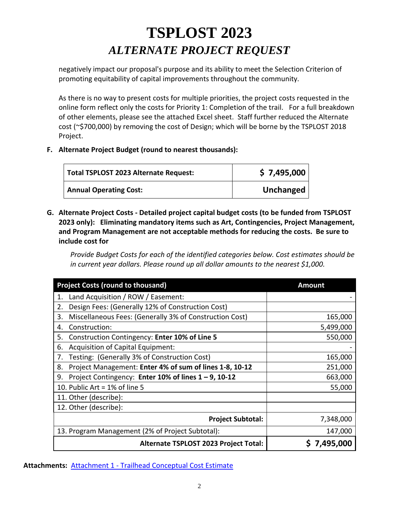# **TSPLOST 2023**  *ALTERNATE PROJECT REQUEST*

negatively impact our proposal's purpose and its ability to meet the Selection Criterion of promoting equitability of capital improvements throughout the community.

As there is no way to present costs for multiple priorities, the project costs requested in the online form reflect only the costs for Priority 1: Completion of the trail. For a full breakdown of other elements, please see the attached Excel sheet. Staff further reduced the Alternate cost (~\$700,000) by removing the cost of Design; which will be borne by the TSPLOST 2018 Project.

#### **F. Alternate Project Budget (round to nearest thousands):**

| Total TSPLOST 2023 Alternate Request: | \$7,495,000 |
|---------------------------------------|-------------|
| <b>Annual Operating Cost:</b>         | Unchanged   |

**G. Alternate Project Costs - Detailed project capital budget costs (to be funded from TSPLOST 2023 only): Eliminating mandatory items such as Art, Contingencies, Project Management, and Program Management are not acceptable methods for reducing the costs. Be sure to include cost for** 

*Provide Budget Costs for each of the identified categories below. Cost estimates should be in current year dollars. Please round up all dollar amounts to the nearest \$1,000.*

| <b>Project Costs (round to thousand)</b>                      | <b>Amount</b> |
|---------------------------------------------------------------|---------------|
| Land Acquisition / ROW / Easement:<br>1.                      |               |
| Design Fees: (Generally 12% of Construction Cost)<br>2.       |               |
| Miscellaneous Fees: (Generally 3% of Construction Cost)<br>3. | 165,000       |
| Construction:<br>4.                                           | 5,499,000     |
| Construction Contingency: Enter 10% of Line 5<br>5.           | 550,000       |
| Acquisition of Capital Equipment:<br>6.                       |               |
| Testing: (Generally 3% of Construction Cost)<br>7.            | 165,000       |
| Project Management: Enter 4% of sum of lines 1-8, 10-12<br>8. | 251,000       |
| Project Contingency: Enter 10% of lines 1 - 9, 10-12<br>9.    | 663,000       |
| 10. Public Art = $1\%$ of line 5                              | 55,000        |
| 11. Other (describe):                                         |               |
| 12. Other (describe):                                         |               |
| <b>Project Subtotal:</b>                                      | 7,348,000     |
| 13. Program Management (2% of Project Subtotal):              | 147,000       |
| Alternate TSPLOST 2023 Project Total:                         | 7,495,000     |

**Attachments:** Attachment 1 - [Trailhead Conceptual Cost Estimate](https://s3.amazonaws.com/files.formstack.com/uploads/4542913/115775416/868193506/115775416_tsplost_2023_trailhead_conceptual_cost_estimate_2021-08-06_fftinc.xlsx)